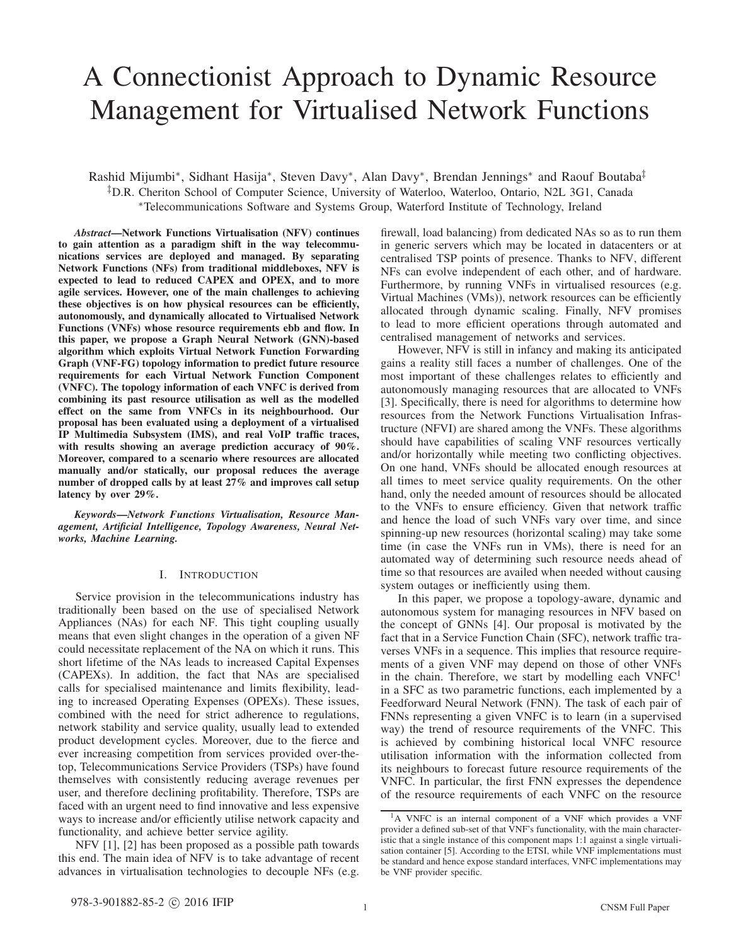# A Connectionist Approach to Dynamic Resource Management for Virtualised Network Functions

Rashid Mijumbi∗, Sidhant Hasija∗, Steven Davy∗, Alan Davy∗, Brendan Jennings∗ and Raouf Boutaba‡ ‡D.R. Cheriton School of Computer Science, University of Waterloo, Waterloo, Ontario, N2L 3G1, Canada ∗Telecommunications Software and Systems Group, Waterford Institute of Technology, Ireland

*Abstract*—Network Functions Virtualisation (NFV) continues to gain attention as a paradigm shift in the way telecommunications services are deployed and managed. By separating Network Functions (NFs) from traditional middleboxes, NFV is expected to lead to reduced CAPEX and OPEX, and to more agile services. However, one of the main challenges to achieving these objectives is on how physical resources can be efficiently, autonomously, and dynamically allocated to Virtualised Network Functions (VNFs) whose resource requirements ebb and flow. In this paper, we propose a Graph Neural Network (GNN)-based algorithm which exploits Virtual Network Function Forwarding Graph (VNF-FG) topology information to predict future resource requirements for each Virtual Network Function Component (VNFC). The topology information of each VNFC is derived from combining its past resource utilisation as well as the modelled effect on the same from VNFCs in its neighbourhood. Our proposal has been evaluated using a deployment of a virtualised IP Multimedia Subsystem (IMS), and real VoIP traffic traces, with results showing an average prediction accuracy of 90%. Moreover, compared to a scenario where resources are allocated manually and/or statically, our proposal reduces the average number of dropped calls by at least 27% and improves call setup latency by over 29%.

*Keywords*—*Network Functions Virtualisation, Resource Management, Artificial Intelligence, Topology Awareness, Neural Networks, Machine Learning.*

# I. INTRODUCTION

Service provision in the telecommunications industry has traditionally been based on the use of specialised Network Appliances (NAs) for each NF. This tight coupling usually means that even slight changes in the operation of a given NF could necessitate replacement of the NA on which it runs. This short lifetime of the NAs leads to increased Capital Expenses (CAPEXs). In addition, the fact that NAs are specialised calls for specialised maintenance and limits flexibility, leading to increased Operating Expenses (OPEXs). These issues, combined with the need for strict adherence to regulations, network stability and service quality, usually lead to extended product development cycles. Moreover, due to the fierce and ever increasing competition from services provided over-thetop, Telecommunications Service Providers (TSPs) have found themselves with consistently reducing average revenues per user, and therefore declining profitability. Therefore, TSPs are faced with an urgent need to find innovative and less expensive ways to increase and/or efficiently utilise network capacity and functionality, and achieve better service agility.

NFV [1], [2] has been proposed as a possible path towards this end. The main idea of NFV is to take advantage of recent advances in virtualisation technologies to decouple NFs (e.g. firewall, load balancing) from dedicated NAs so as to run them in generic servers which may be located in datacenters or at centralised TSP points of presence. Thanks to NFV, different NFs can evolve independent of each other, and of hardware. Furthermore, by running VNFs in virtualised resources (e.g. Virtual Machines (VMs)), network resources can be efficiently allocated through dynamic scaling. Finally, NFV promises to lead to more efficient operations through automated and centralised management of networks and services.

However, NFV is still in infancy and making its anticipated gains a reality still faces a number of challenges. One of the most important of these challenges relates to efficiently and autonomously managing resources that are allocated to VNFs [3]. Specifically, there is need for algorithms to determine how resources from the Network Functions Virtualisation Infrastructure (NFVI) are shared among the VNFs. These algorithms should have capabilities of scaling VNF resources vertically and/or horizontally while meeting two conflicting objectives. On one hand, VNFs should be allocated enough resources at all times to meet service quality requirements. On the other hand, only the needed amount of resources should be allocated to the VNFs to ensure efficiency. Given that network traffic and hence the load of such VNFs vary over time, and since spinning-up new resources (horizontal scaling) may take some time (in case the VNFs run in VMs), there is need for an automated way of determining such resource needs ahead of time so that resources are availed when needed without causing system outages or inefficiently using them.

In this paper, we propose a topology-aware, dynamic and autonomous system for managing resources in NFV based on the concept of GNNs [4]. Our proposal is motivated by the fact that in a Service Function Chain (SFC), network traffic traverses VNFs in a sequence. This implies that resource requirements of a given VNF may depend on those of other VNFs in the chain. Therefore, we start by modelling each  $VNFC<sup>1</sup>$ in a SFC as two parametric functions, each implemented by a Feedforward Neural Network (FNN). The task of each pair of FNNs representing a given VNFC is to learn (in a supervised way) the trend of resource requirements of the VNFC. This is achieved by combining historical local VNFC resource utilisation information with the information collected from its neighbours to forecast future resource requirements of the VNFC. In particular, the first FNN expresses the dependence of the resource requirements of each VNFC on the resource

<sup>&</sup>lt;sup>1</sup>A VNFC is an internal component of a VNF which provides a VNF provider a defined sub-set of that VNF's functionality, with the main characteristic that a single instance of this component maps 1:1 against a single virtualisation container [5]. According to the ETSI, while VNF implementations must be standard and hence expose standard interfaces, VNFC implementations may be VNF provider specific.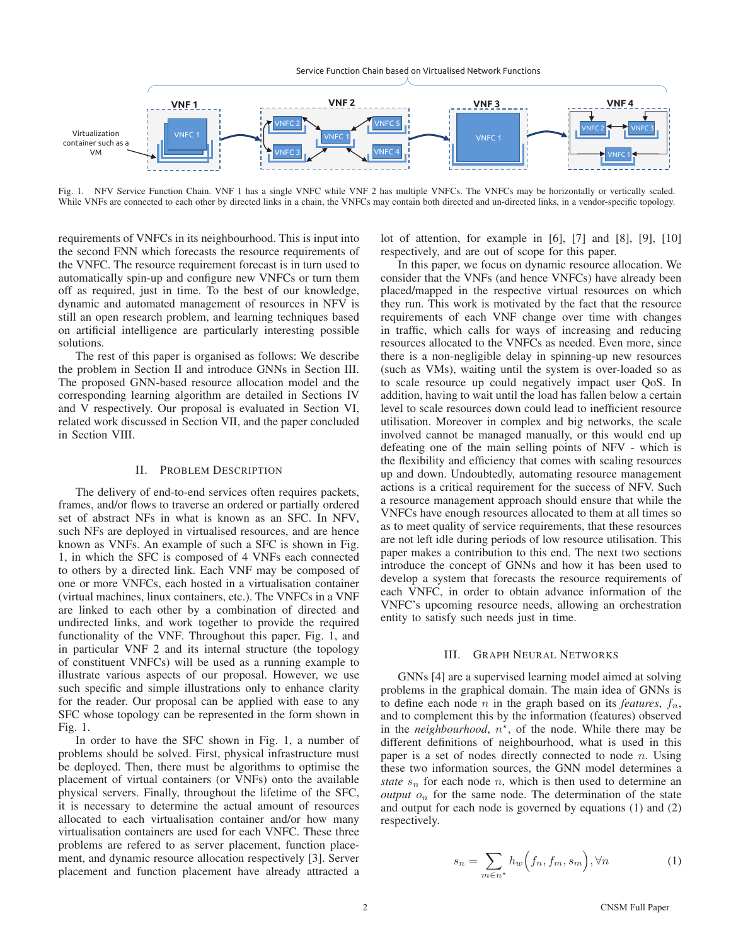Service Function Chain based on Virtualised Network Functions



Fig. 1. NFV Service Function Chain. VNF 1 has a single VNFC while VNF 2 has multiple VNFCs. The VNFCs may be horizontally or vertically scaled. While VNFs are connected to each other by directed links in a chain, the VNFCs may contain both directed and un-directed links, in a vendor-specific topology.

requirements of VNFCs in its neighbourhood. This is input into the second FNN which forecasts the resource requirements of the VNFC. The resource requirement forecast is in turn used to automatically spin-up and configure new VNFCs or turn them off as required, just in time. To the best of our knowledge, dynamic and automated management of resources in NFV is still an open research problem, and learning techniques based on artificial intelligence are particularly interesting possible solutions.

The rest of this paper is organised as follows: We describe the problem in Section II and introduce GNNs in Section III. The proposed GNN-based resource allocation model and the corresponding learning algorithm are detailed in Sections IV and V respectively. Our proposal is evaluated in Section VI, related work discussed in Section VII, and the paper concluded in Section VIII.

## II. PROBLEM DESCRIPTION

The delivery of end-to-end services often requires packets, frames, and/or flows to traverse an ordered or partially ordered set of abstract NFs in what is known as an SFC. In NFV, such NFs are deployed in virtualised resources, and are hence known as VNFs. An example of such a SFC is shown in Fig. 1, in which the SFC is composed of 4 VNFs each connected to others by a directed link. Each VNF may be composed of one or more VNFCs, each hosted in a virtualisation container (virtual machines, linux containers, etc.). The VNFCs in a VNF are linked to each other by a combination of directed and undirected links, and work together to provide the required functionality of the VNF. Throughout this paper, Fig. 1, and in particular VNF 2 and its internal structure (the topology of constituent VNFCs) will be used as a running example to illustrate various aspects of our proposal. However, we use such specific and simple illustrations only to enhance clarity for the reader. Our proposal can be applied with ease to any SFC whose topology can be represented in the form shown in Fig. 1.

In order to have the SFC shown in Fig. 1, a number of problems should be solved. First, physical infrastructure must be deployed. Then, there must be algorithms to optimise the placement of virtual containers (or VNFs) onto the available physical servers. Finally, throughout the lifetime of the SFC, it is necessary to determine the actual amount of resources allocated to each virtualisation container and/or how many virtualisation containers are used for each VNFC. These three problems are refered to as server placement, function placement, and dynamic resource allocation respectively [3]. Server placement and function placement have already attracted a lot of attention, for example in [6], [7] and [8], [9], [10] respectively, and are out of scope for this paper.

In this paper, we focus on dynamic resource allocation. We consider that the VNFs (and hence VNFCs) have already been placed/mapped in the respective virtual resources on which they run. This work is motivated by the fact that the resource requirements of each VNF change over time with changes in traffic, which calls for ways of increasing and reducing resources allocated to the VNFCs as needed. Even more, since there is a non-negligible delay in spinning-up new resources (such as VMs), waiting until the system is over-loaded so as to scale resource up could negatively impact user QoS. In addition, having to wait until the load has fallen below a certain level to scale resources down could lead to inefficient resource utilisation. Moreover in complex and big networks, the scale involved cannot be managed manually, or this would end up defeating one of the main selling points of NFV - which is the flexibility and efficiency that comes with scaling resources up and down. Undoubtedly, automating resource management actions is a critical requirement for the success of NFV. Such a resource management approach should ensure that while the VNFCs have enough resources allocated to them at all times so as to meet quality of service requirements, that these resources are not left idle during periods of low resource utilisation. This paper makes a contribution to this end. The next two sections introduce the concept of GNNs and how it has been used to develop a system that forecasts the resource requirements of each VNFC, in order to obtain advance information of the VNFC's upcoming resource needs, allowing an orchestration entity to satisfy such needs just in time.

## III. GRAPH NEURAL NETWORKS

GNNs [4] are a supervised learning model aimed at solving problems in the graphical domain. The main idea of GNNs is to define each node *n* in the graph based on its *features*,  $f_n$ , and to complement this by the information (features) observed in the *neighbourhood*,  $n^*$ , of the node. While there may be different definitions of neighbourhood, what is used in this paper is a set of nodes directly connected to node  $n$ . Using these two information sources, the GNN model determines a *state*  $s_n$  for each node *n*, which is then used to determine an *output*  $o_n$  for the same node. The determination of the state and output for each node is governed by equations (1) and (2) respectively.

$$
s_n = \sum_{m \in n^*} h_w \left( f_n, f_m, s_m \right), \forall n \tag{1}
$$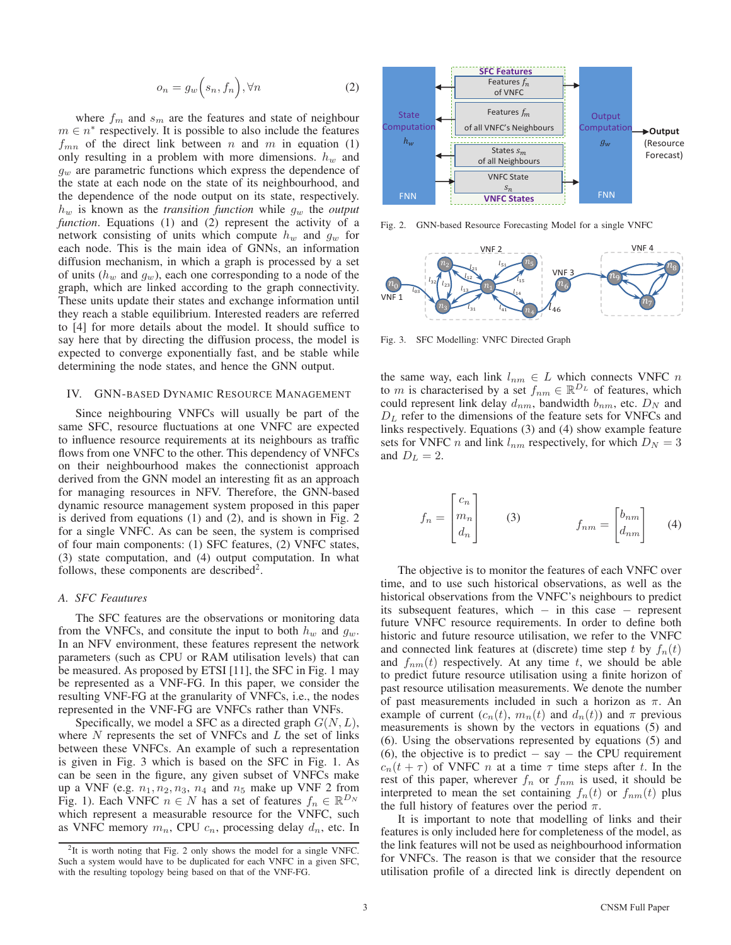$$
o_n = g_w\Big(s_n, f_n\Big), \forall n \tag{2}
$$

where  $f_m$  and  $s_m$  are the features and state of neighbour  $m \in n^*$  respectively. It is possible to also include the features  $f_{mn}$  of the direct link between n and m in equation (1) only resulting in a problem with more dimensions.  $h_w$  and  $g_w$  are parametric functions which express the dependence of the state at each node on the state of its neighbourhood, and the dependence of the node output on its state, respectively.  $h_w$  is known as the *transition function* while  $g_w$  the *output function*. Equations (1) and (2) represent the activity of a network consisting of units which compute  $h_w$  and  $g_w$  for each node. This is the main idea of GNNs, an information diffusion mechanism, in which a graph is processed by a set of units  $(h_w$  and  $g_w$ ), each one corresponding to a node of the graph, which are linked according to the graph connectivity. These units update their states and exchange information until they reach a stable equilibrium. Interested readers are referred to [4] for more details about the model. It should suffice to say here that by directing the diffusion process, the model is expected to converge exponentially fast, and be stable while determining the node states, and hence the GNN output.

## IV. GNN-BASED DYNAMIC RESOURCE MANAGEMENT

Since neighbouring VNFCs will usually be part of the same SFC, resource fluctuations at one VNFC are expected to influence resource requirements at its neighbours as traffic flows from one VNFC to the other. This dependency of VNFCs on their neighbourhood makes the connectionist approach derived from the GNN model an interesting fit as an approach for managing resources in NFV. Therefore, the GNN-based dynamic resource management system proposed in this paper is derived from equations (1) and (2), and is shown in Fig. 2 for a single VNFC. As can be seen, the system is comprised of four main components: (1) SFC features, (2) VNFC states, (3) state computation, and (4) output computation. In what follows, these components are described<sup>2</sup>.

## *A. SFC Feautures*

The SFC features are the observations or monitoring data from the VNFCs, and consitute the input to both  $h_w$  and  $g_w$ . In an NFV environment, these features represent the network parameters (such as CPU or RAM utilisation levels) that can be measured. As proposed by ETSI [11], the SFC in Fig. 1 may be represented as a VNF-FG. In this paper, we consider the resulting VNF-FG at the granularity of VNFCs, i.e., the nodes represented in the VNF-FG are VNFCs rather than VNFs.

Specifically, we model a SFC as a directed graph  $G(N, L)$ , where  $N$  represents the set of VNFCs and  $L$  the set of links between these VNFCs. An example of such a representation is given in Fig. 3 which is based on the SFC in Fig. 1. As can be seen in the figure, any given subset of VNFCs make up a VNF (e.g.  $n_1, n_2, n_3, n_4$  and  $n_5$  make up VNF 2 from Fig. 1). Each VNFC  $n \in N$  has a set of features  $f_n \in \mathbb{R}^{D_N}$ which represent a measurable resource for the VNFC, such as VNFC memory  $m_n$ , CPU  $c_n$ , processing delay  $d_n$ , etc. In



Fig. 2. GNN-based Resource Forecasting Model for a single VNFC



Fig. 3. SFC Modelling: VNFC Directed Graph

the same way, each link  $l_{nm} \in L$  which connects VNFC n to *m* is characterised by a set  $f_{nm} \in \mathbb{R}^{D_L}$  of features, which could represent link delay  $d_{nm}$ , bandwidth  $b_{nm}$ , etc.  $D_N$  and  $D<sub>L</sub>$  refer to the dimensions of the feature sets for VNFCs and links respectively. Equations (3) and (4) show example feature sets for VNFC *n* and link  $l_{nm}$  respectively, for which  $D_N = 3$ and  $D_L = 2$ .

$$
f_n = \begin{bmatrix} c_n \\ m_n \\ d_n \end{bmatrix} \qquad (3) \qquad f_{nm} = \begin{bmatrix} b_{nm} \\ d_{nm} \end{bmatrix} \qquad (4)
$$

The objective is to monitor the features of each VNFC over time, and to use such historical observations, as well as the historical observations from the VNFC's neighbours to predict its subsequent features, which − in this case − represent future VNFC resource requirements. In order to define both historic and future resource utilisation, we refer to the VNFC and connected link features at (discrete) time step t by  $f_n(t)$ and  $f_{nm}(t)$  respectively. At any time t, we should be able to predict future resource utilisation using a finite horizon of past resource utilisation measurements. We denote the number of past measurements included in such a horizon as  $\pi$ . An example of current  $(c_n(t), m_n(t))$  and  $d_n(t)$  and  $\pi$  previous measurements is shown by the vectors in equations (5) and (6). Using the observations represented by equations (5) and (6), the objective is to predict  $-$  say  $-$  the CPU requirement  $c_n(t + \tau)$  of VNFC *n* at a time  $\tau$  time steps after *t*. In the rest of this paper, wherever  $f_n$  or  $f_{nm}$  is used, it should be interpreted to mean the set containing  $f_n(t)$  or  $f_{nm}(t)$  plus the full history of features over the period  $\pi$ .

It is important to note that modelling of links and their features is only included here for completeness of the model, as the link features will not be used as neighbourhood information for VNFCs. The reason is that we consider that the resource utilisation profile of a directed link is directly dependent on

 $2$ It is worth noting that Fig. 2 only shows the model for a single VNFC. Such a system would have to be duplicated for each VNFC in a given SFC, with the resulting topology being based on that of the VNF-FG.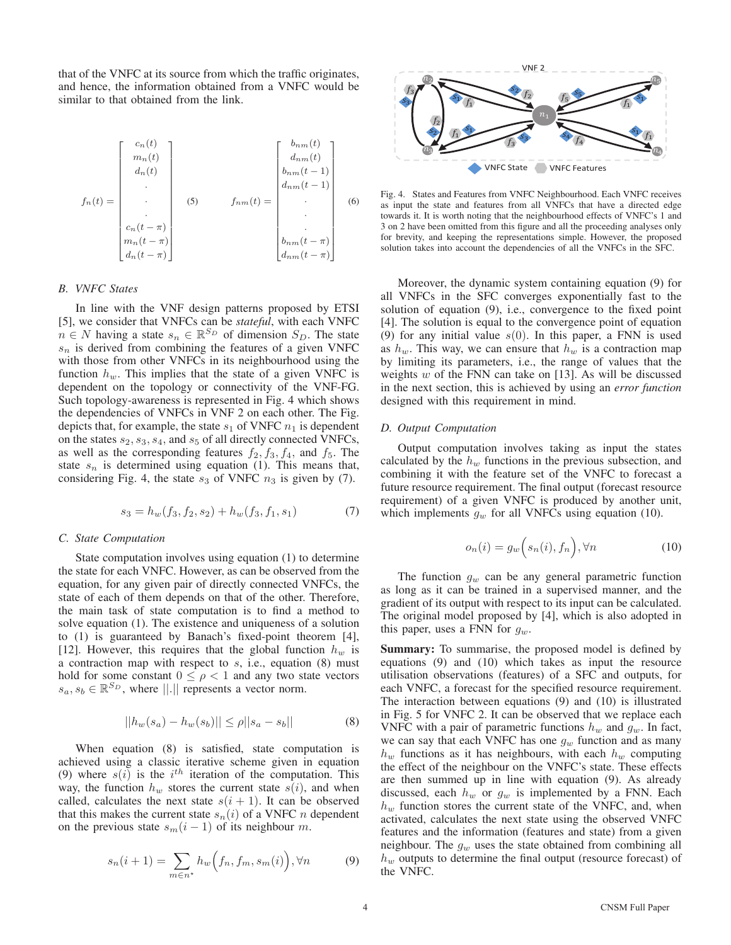that of the VNFC at its source from which the traffic originates, and hence, the information obtained from a VNFC would be similar to that obtained from the link.

$$
f_n(t) = \begin{bmatrix} c_n(t) \\ m_n(t) \\ d_n(t) \\ \vdots \\ c_n(t-\pi) \\ d_n(t-\pi) \\ d_n(t-\pi) \end{bmatrix} \qquad (5) \qquad f_{nm}(t) = \begin{bmatrix} b_{nm}(t) \\ d_{nm}(t) \\ b_{nm}(t-1) \\ \vdots \\ d_{nm}(t-1) \\ \vdots \\ d_{nm}(t-\pi) \\ \vdots \\ d_{nm}(t-\pi) \end{bmatrix} \qquad (6)
$$

# *B. VNFC States*

In line with the VNF design patterns proposed by ETSI [5], we consider that VNFCs can be *stateful*, with each VNFC  $n \in N$  having a state  $s_n \in \mathbb{R}^{S_D}$  of dimension  $S_D$ . The state  $s_n$  is derived from combining the features of a given VNFC with those from other VNFCs in its neighbourhood using the function  $h_w$ . This implies that the state of a given VNFC is dependent on the topology or connectivity of the VNF-FG. Such topology-awareness is represented in Fig. 4 which shows the dependencies of VNFCs in VNF 2 on each other. The Fig. depicts that, for example, the state  $s_1$  of VNFC  $n_1$  is dependent on the states  $s_2$ ,  $s_3$ ,  $s_4$ , and  $s_5$  of all directly connected VNFCs, as well as the corresponding features  $f_2, f_3, f_4$ , and  $f_5$ . The state  $s_n$  is determined using equation (1). This means that, considering Fig. 4, the state  $s_3$  of VNFC  $n_3$  is given by (7).

$$
s_3 = h_w(f_3, f_2, s_2) + h_w(f_3, f_1, s_1)
$$
 (7)

# *C. State Computation*

State computation involves using equation (1) to determine the state for each VNFC. However, as can be observed from the equation, for any given pair of directly connected VNFCs, the state of each of them depends on that of the other. Therefore, the main task of state computation is to find a method to solve equation (1). The existence and uniqueness of a solution to (1) is guaranteed by Banach's fixed-point theorem [4], [12]. However, this requires that the global function  $h_w$  is a contraction map with respect to  $s$ , i.e., equation  $(8)$  must hold for some constant  $0 \leq \rho < 1$  and any two state vectors  $s_a, s_b \in \mathbb{R}^{S_D}$ , where ||.|| represents a vector norm.

$$
||h_w(s_a) - h_w(s_b)|| \le \rho ||s_a - s_b|| \tag{8}
$$

When equation (8) is satisfied, state computation is achieved using a classic iterative scheme given in equation (9) where  $s(i)$  is the  $i<sup>th</sup>$  iteration of the computation. This way, the function  $h_w$  stores the current state  $s(i)$ , and when called, calculates the next state  $s(i + 1)$ . It can be observed that this makes the current state  $s_n(i)$  of a VNFC *n* dependent on the previous state  $s_m(i-1)$  of its neighbour m.

$$
s_n(i+1) = \sum_{m \in n^*} h_w\Big(f_n, f_m, s_m(i)\Big), \forall n \tag{9}
$$



Fig. 4. States and Features from VNFC Neighbourhood. Each VNFC receives as input the state and features from all VNFCs that have a directed edge towards it. It is worth noting that the neighbourhood effects of VNFC's 1 and 3 on 2 have been omitted from this figure and all the proceeding analyses only for brevity, and keeping the representations simple. However, the proposed solution takes into account the dependencies of all the VNFCs in the SFC.

Moreover, the dynamic system containing equation (9) for all VNFCs in the SFC converges exponentially fast to the solution of equation (9), i.e., convergence to the fixed point [4]. The solution is equal to the convergence point of equation (9) for any initial value  $s(0)$ . In this paper, a FNN is used as  $h_w$ . This way, we can ensure that  $h_w$  is a contraction map by limiting its parameters, i.e., the range of values that the weights  $w$  of the FNN can take on [13]. As will be discussed in the next section, this is achieved by using an *error function* designed with this requirement in mind.

#### *D. Output Computation*

Output computation involves taking as input the states calculated by the  $h_w$  functions in the previous subsection, and combining it with the feature set of the VNFC to forecast a future resource requirement. The final output (forecast resource requirement) of a given VNFC is produced by another unit, which implements  $g_w$  for all VNFCs using equation (10).

$$
o_n(i) = g_w\Big(s_n(i), f_n\Big), \forall n \tag{10}
$$

The function  $g_w$  can be any general parametric function as long as it can be trained in a supervised manner, and the gradient of its output with respect to its input can be calculated. The original model proposed by [4], which is also adopted in this paper, uses a FNN for  $g_w$ .

Summary: To summarise, the proposed model is defined by equations (9) and (10) which takes as input the resource utilisation observations (features) of a SFC and outputs, for each VNFC, a forecast for the specified resource requirement. The interaction between equations (9) and (10) is illustrated in Fig. 5 for VNFC 2. It can be observed that we replace each VNFC with a pair of parametric functions  $h_w$  and  $g_w$ . In fact, we can say that each VNFC has one  $g_w$  function and as many  $h_w$  functions as it has neighbours, with each  $h_w$  computing the effect of the neighbour on the VNFC's state. These effects are then summed up in line with equation (9). As already discussed, each  $h_w$  or  $g_w$  is implemented by a FNN. Each  $h_w$  function stores the current state of the VNFC, and, when activated, calculates the next state using the observed VNFC features and the information (features and state) from a given neighbour. The  $g_w$  uses the state obtained from combining all  $h_w$  outputs to determine the final output (resource forecast) of the VNFC.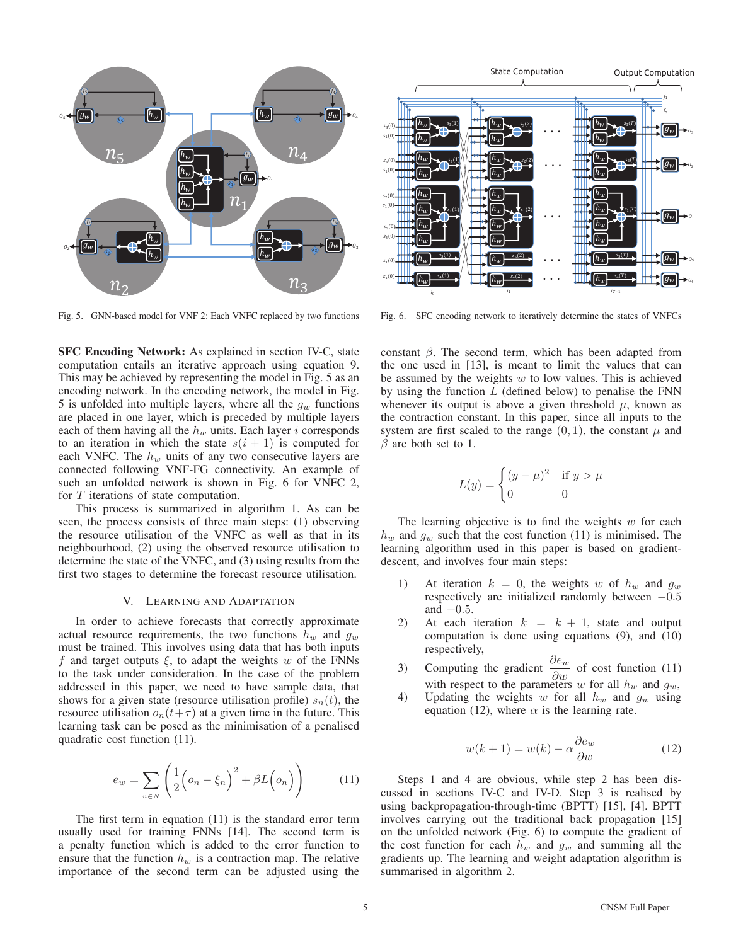

Fig. 5. GNN-based model for VNF 2: Each VNFC replaced by two functions

SFC Encoding Network: As explained in section IV-C, state computation entails an iterative approach using equation 9. This may be achieved by representing the model in Fig. 5 as an encoding network. In the encoding network, the model in Fig. 5 is unfolded into multiple layers, where all the  $g_w$  functions are placed in one layer, which is preceded by multiple layers each of them having all the  $h_w$  units. Each layer i corresponds to an iteration in which the state  $s(i + 1)$  is computed for each VNFC. The  $h_w$  units of any two consecutive layers are connected following VNF-FG connectivity. An example of such an unfolded network is shown in Fig. 6 for VNFC 2, for T iterations of state computation.

This process is summarized in algorithm 1. As can be seen, the process consists of three main steps: (1) observing the resource utilisation of the VNFC as well as that in its neighbourhood, (2) using the observed resource utilisation to determine the state of the VNFC, and (3) using results from the first two stages to determine the forecast resource utilisation.

#### V. LEARNING AND ADAPTATION

In order to achieve forecasts that correctly approximate actual resource requirements, the two functions  $h_w$  and  $g_w$ must be trained. This involves using data that has both inputs f and target outputs  $\xi$ , to adapt the weights w of the FNNs to the task under consideration. In the case of the problem addressed in this paper, we need to have sample data, that shows for a given state (resource utilisation profile)  $s_n(t)$ , the resource utilisation  $o_n(t+\tau)$  at a given time in the future. This learning task can be posed as the minimisation of a penalised quadratic cost function (11).

$$
e_w = \sum_{n \in N} \left( \frac{1}{2} \left( o_n - \xi_n \right)^2 + \beta L \left( o_n \right) \right) \tag{11}
$$

The first term in equation (11) is the standard error term usually used for training FNNs [14]. The second term is a penalty function which is added to the error function to ensure that the function  $h_w$  is a contraction map. The relative importance of the second term can be adjusted using the



Fig. 6. SFC encoding network to iteratively determine the states of VNFCs

constant  $\beta$ . The second term, which has been adapted from the one used in [13], is meant to limit the values that can be assumed by the weights  $w$  to low values. This is achieved by using the function  $L$  (defined below) to penalise the FNN whenever its output is above a given threshold  $\mu$ , known as the contraction constant. In this paper, since all inputs to the system are first scaled to the range  $(0, 1)$ , the constant  $\mu$  and  $\beta$  are both set to 1.

$$
L(y) = \begin{cases} (y - \mu)^2 & \text{if } y > \mu \\ 0 & 0 \end{cases}
$$

The learning objective is to find the weights  $w$  for each  $h_w$  and  $g_w$  such that the cost function (11) is minimised. The learning algorithm used in this paper is based on gradientdescent, and involves four main steps:

- 1) At iteration  $k = 0$ , the weights w of  $h_w$  and  $g_w$ respectively are initialized randomly between −0.5 and  $+0.5$ .
- 2) At each iteration  $k = k + 1$ , state and output computation is done using equations (9), and (10) respectively,
- 3) Computing the gradient  $\frac{\partial e_w}{\partial w}$  of cost function (11)<br>with respect to the parameters w for all  $h_w$  and  $g_w$ ,
- 4) Updating the weights w for all  $h_w$  and  $g_w$  using equation (12), where  $\alpha$  is the learning rate.

$$
w(k+1) = w(k) - \alpha \frac{\partial e_w}{\partial w}
$$
 (12)

Steps 1 and 4 are obvious, while step 2 has been discussed in sections IV-C and IV-D. Step 3 is realised by using backpropagation-through-time (BPTT) [15], [4]. BPTT involves carrying out the traditional back propagation [15] on the unfolded network (Fig. 6) to compute the gradient of the cost function for each  $h_w$  and  $g_w$  and summing all the gradients up. The learning and weight adaptation algorithm is summarised in algorithm 2.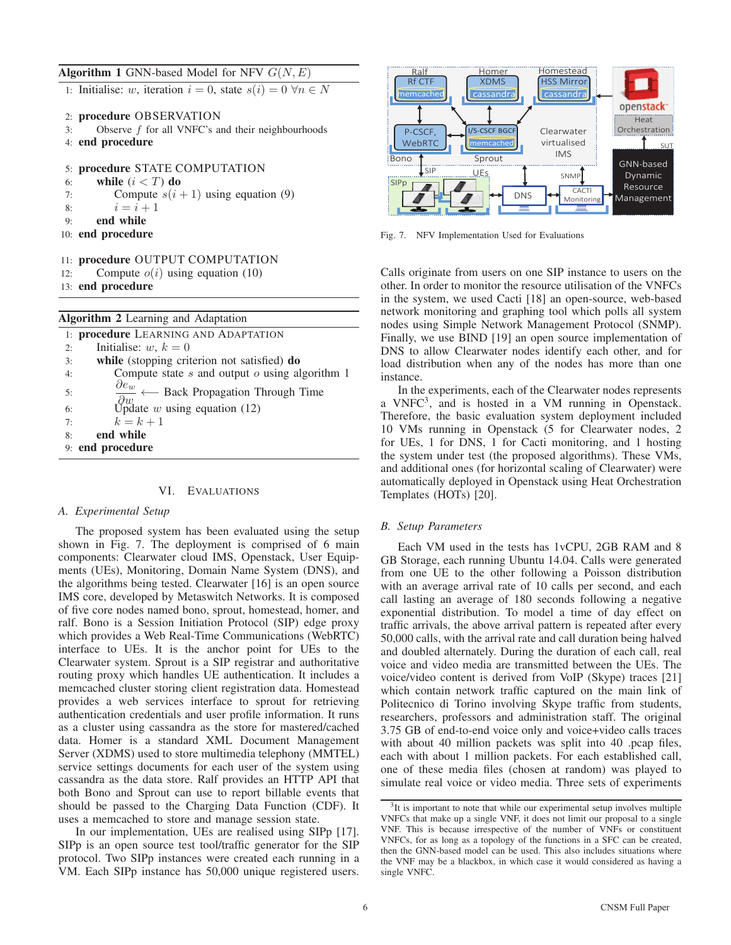Algorithm 1 GNN-based Model for NFV  $G(N, E)$ 

1: Initialise: w, iteration  $i = 0$ , state  $s(i) = 0 \,\forall n \in N$ 

- 2: procedure OBSERVATION
- 3: Observe f for all VNFC's and their neighbourhoods
- 4: end procedure

5: procedure STATE COMPUTATION 6: while  $(i < T)$  do 7: Compute  $s(i + 1)$  using equation (9) 8:  $i = i + 1$ 9: end while 10: end procedure

- 11: procedure OUTPUT COMPUTATION
- 12: Compute  $o(i)$  using equation (10)
- 13: end procedure

| <b>Algorithm 2</b> Learning and Adaptation                                                        |
|---------------------------------------------------------------------------------------------------|
| 1: procedure LEARNING AND ADAPTATION                                                              |
| Initialise: w, $k = 0$<br>2:                                                                      |
| while (stopping criterion not satisfied) do<br>3:                                                 |
| Compute state $s$ and output $o$ using algorithm 1<br>4:                                          |
| $\frac{\partial e_w}{\partial \overline{z}}$ $\longleftarrow$ Back Propagation Through Time<br>5: |
| $\partial w$<br>Update <i>w</i> using equation (12)<br>6:                                         |
| $k=k+1$<br>7:                                                                                     |
| end while<br>8:                                                                                   |
| 9: end procedure                                                                                  |

# VI. EVALUATIONS

## *A. Experimental Setup*

The proposed system has been evaluated using the setup shown in Fig. 7. The deployment is comprised of 6 main components: Clearwater cloud IMS, Openstack, User Equipments (UEs), Monitoring, Domain Name System (DNS), and the algorithms being tested. Clearwater [16] is an open source IMS core, developed by Metaswitch Networks. It is composed of five core nodes named bono, sprout, homestead, homer, and ralf. Bono is a Session Initiation Protocol (SIP) edge proxy which provides a Web Real-Time Communications (WebRTC) interface to UEs. It is the anchor point for UEs to the Clearwater system. Sprout is a SIP registrar and authoritative routing proxy which handles UE authentication. It includes a memcached cluster storing client registration data. Homestead provides a web services interface to sprout for retrieving authentication credentials and user profile information. It runs as a cluster using cassandra as the store for mastered/cached data. Homer is a standard XML Document Management Server (XDMS) used to store multimedia telephony (MMTEL) service settings documents for each user of the system using cassandra as the data store. Ralf provides an HTTP API that both Bono and Sprout can use to report billable events that should be passed to the Charging Data Function (CDF). It uses a memcached to store and manage session state.

In our implementation, UEs are realised using SIPp [17]. SIPp is an open source test tool/traffic generator for the SIP protocol. Two SIPp instances were created each running in a VM. Each SIPp instance has 50,000 unique registered users.



Fig. 7. NFV Implementation Used for Evaluations

Calls originate from users on one SIP instance to users on the other. In order to monitor the resource utilisation of the VNFCs in the system, we used Cacti [18] an open-source, web-based network monitoring and graphing tool which polls all system nodes using Simple Network Management Protocol (SNMP). Finally, we use BIND [19] an open source implementation of DNS to allow Clearwater nodes identify each other, and for load distribution when any of the nodes has more than one instance.

In the experiments, each of the Clearwater nodes represents a VNFC3, and is hosted in a VM running in Openstack. Therefore, the basic evaluation system deployment included 10 VMs running in Openstack (5 for Clearwater nodes, 2 for UEs, 1 for DNS, 1 for Cacti monitoring, and 1 hosting the system under test (the proposed algorithms). These VMs, and additional ones (for horizontal scaling of Clearwater) were automatically deployed in Openstack using Heat Orchestration Templates (HOTs) [20].

## *B. Setup Parameters*

Each VM used in the tests has 1vCPU, 2GB RAM and 8 GB Storage, each running Ubuntu 14.04. Calls were generated from one UE to the other following a Poisson distribution with an average arrival rate of 10 calls per second, and each call lasting an average of 180 seconds following a negative exponential distribution. To model a time of day effect on traffic arrivals, the above arrival pattern is repeated after every 50,000 calls, with the arrival rate and call duration being halved and doubled alternately. During the duration of each call, real voice and video media are transmitted between the UEs. The voice/video content is derived from VoIP (Skype) traces [21] which contain network traffic captured on the main link of Politecnico di Torino involving Skype traffic from students, researchers, professors and administration staff. The original 3.75 GB of end-to-end voice only and voice+video calls traces with about 40 million packets was split into 40 .pcap files, each with about 1 million packets. For each established call, one of these media files (chosen at random) was played to simulate real voice or video media. Three sets of experiments

<sup>&</sup>lt;sup>3</sup>It is important to note that while our experimental setup involves multiple VNFCs that make up a single VNF, it does not limit our proposal to a single VNF. This is because irrespective of the number of VNFs or constituent VNFCs, for as long as a topology of the functions in a SFC can be created, then the GNN-based model can be used. This also includes situations where the VNF may be a blackbox, in which case it would considered as having a single VNFC.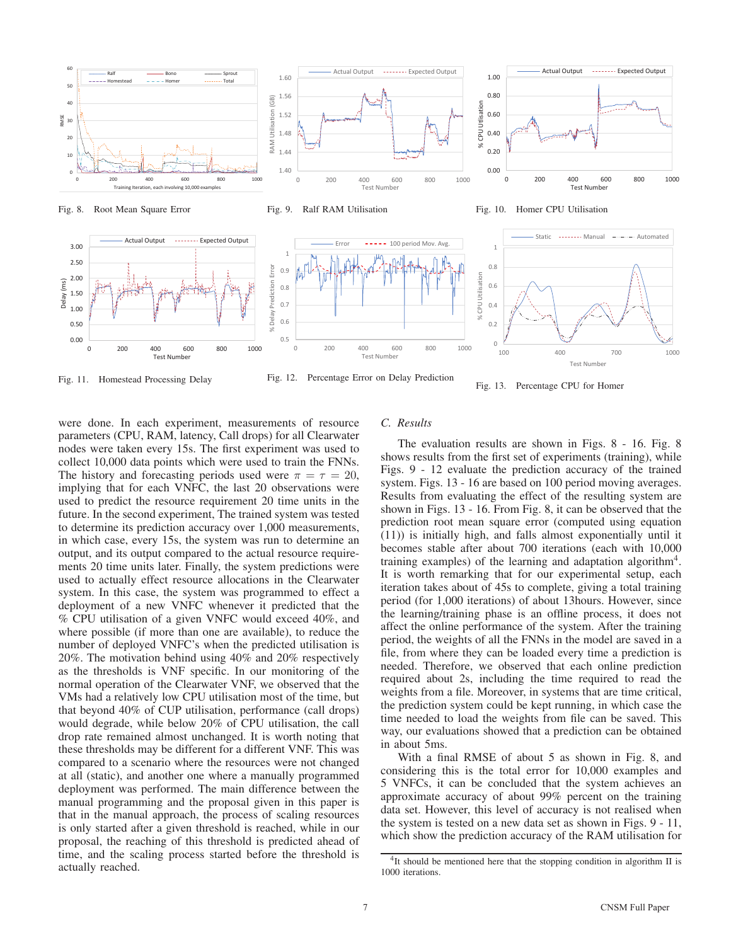





Test Number

100 400 700 1000

Fig. 11. Homestead Processing Delay

Fig. 12. Percentage Error on Delay Prediction



were done. In each experiment, measurements of resource parameters (CPU, RAM, latency, Call drops) for all Clearwater nodes were taken every 15s. The first experiment was used to collect 10,000 data points which were used to train the FNNs. The history and forecasting periods used were  $\pi = \tau = 20$ , implying that for each VNFC, the last 20 observations were used to predict the resource requirement 20 time units in the future. In the second experiment, The trained system was tested to determine its prediction accuracy over 1,000 measurements, in which case, every 15s, the system was run to determine an output, and its output compared to the actual resource requirements 20 time units later. Finally, the system predictions were used to actually effect resource allocations in the Clearwater system. In this case, the system was programmed to effect a deployment of a new VNFC whenever it predicted that the % CPU utilisation of a given VNFC would exceed 40%, and where possible (if more than one are available), to reduce the number of deployed VNFC's when the predicted utilisation is 20%. The motivation behind using 40% and 20% respectively as the thresholds is VNF specific. In our monitoring of the normal operation of the Clearwater VNF, we observed that the VMs had a relatively low CPU utilisation most of the time, but that beyond 40% of CUP utilisation, performance (call drops) would degrade, while below 20% of CPU utilisation, the call drop rate remained almost unchanged. It is worth noting that these thresholds may be different for a different VNF. This was compared to a scenario where the resources were not changed at all (static), and another one where a manually programmed deployment was performed. The main difference between the manual programming and the proposal given in this paper is that in the manual approach, the process of scaling resources is only started after a given threshold is reached, while in our proposal, the reaching of this threshold is predicted ahead of time, and the scaling process started before the threshold is actually reached.

## *C. Results*

The evaluation results are shown in Figs. 8 - 16. Fig. 8 shows results from the first set of experiments (training), while Figs. 9 - 12 evaluate the prediction accuracy of the trained system. Figs. 13 - 16 are based on 100 period moving averages. Results from evaluating the effect of the resulting system are shown in Figs. 13 - 16. From Fig. 8, it can be observed that the prediction root mean square error (computed using equation (11)) is initially high, and falls almost exponentially until it becomes stable after about 700 iterations (each with 10,000 training examples) of the learning and adaptation algorithm<sup>4</sup>. It is worth remarking that for our experimental setup, each iteration takes about of 45s to complete, giving a total training period (for 1,000 iterations) of about 13hours. However, since the learning/training phase is an offline process, it does not affect the online performance of the system. After the training period, the weights of all the FNNs in the model are saved in a file, from where they can be loaded every time a prediction is needed. Therefore, we observed that each online prediction required about 2s, including the time required to read the weights from a file. Moreover, in systems that are time critical, the prediction system could be kept running, in which case the time needed to load the weights from file can be saved. This way, our evaluations showed that a prediction can be obtained in about 5ms.

With a final RMSE of about 5 as shown in Fig. 8, and considering this is the total error for 10,000 examples and 5 VNFCs, it can be concluded that the system achieves an approximate accuracy of about 99% percent on the training data set. However, this level of accuracy is not realised when the system is tested on a new data set as shown in Figs. 9 - 11, which show the prediction accuracy of the RAM utilisation for

<sup>&</sup>lt;sup>4</sup>It should be mentioned here that the stopping condition in algorithm II is 1000 iterations.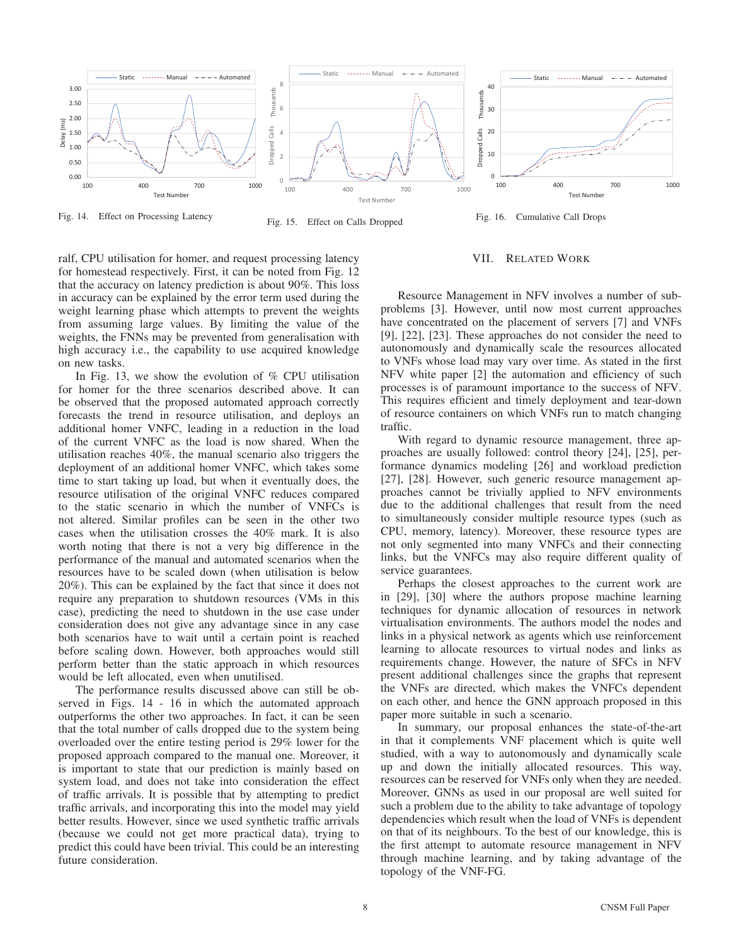

Fig. 14. Effect on Processing Latency

Fig. 15. Effect on Calls Dropped

VII. RELATED WORK

ralf, CPU utilisation for homer, and request processing latency for homestead respectively. First, it can be noted from Fig. 12 that the accuracy on latency prediction is about 90%. This loss in accuracy can be explained by the error term used during the weight learning phase which attempts to prevent the weights from assuming large values. By limiting the value of the weights, the FNNs may be prevented from generalisation with high accuracy i.e., the capability to use acquired knowledge on new tasks.

In Fig. 13, we show the evolution of % CPU utilisation for homer for the three scenarios described above. It can be observed that the proposed automated approach correctly forecasts the trend in resource utilisation, and deploys an additional homer VNFC, leading in a reduction in the load of the current VNFC as the load is now shared. When the utilisation reaches 40%, the manual scenario also triggers the deployment of an additional homer VNFC, which takes some time to start taking up load, but when it eventually does, the resource utilisation of the original VNFC reduces compared to the static scenario in which the number of VNFCs is not altered. Similar profiles can be seen in the other two cases when the utilisation crosses the 40% mark. It is also worth noting that there is not a very big difference in the performance of the manual and automated scenarios when the resources have to be scaled down (when utilisation is below 20%). This can be explained by the fact that since it does not require any preparation to shutdown resources (VMs in this case), predicting the need to shutdown in the use case under consideration does not give any advantage since in any case both scenarios have to wait until a certain point is reached before scaling down. However, both approaches would still perform better than the static approach in which resources would be left allocated, even when unutilised.

The performance results discussed above can still be observed in Figs. 14 - 16 in which the automated approach outperforms the other two approaches. In fact, it can be seen that the total number of calls dropped due to the system being overloaded over the entire testing period is 29% lower for the proposed approach compared to the manual one. Moreover, it is important to state that our prediction is mainly based on system load, and does not take into consideration the effect of traffic arrivals. It is possible that by attempting to predict traffic arrivals, and incorporating this into the model may yield better results. However, since we used synthetic traffic arrivals (because we could not get more practical data), trying to predict this could have been trivial. This could be an interesting future consideration.

# Resource Management in NFV involves a number of subproblems [3]. However, until now most current approaches have concentrated on the placement of servers [7] and VNFs [9], [22], [23]. These approaches do not consider the need to autonomously and dynamically scale the resources allocated to VNFs whose load may vary over time. As stated in the first NFV white paper [2] the automation and efficiency of such processes is of paramount importance to the success of NFV. This requires efficient and timely deployment and tear-down of resource containers on which VNFs run to match changing traffic.

With regard to dynamic resource management, three approaches are usually followed: control theory [24], [25], performance dynamics modeling [26] and workload prediction [27], [28]. However, such generic resource management approaches cannot be trivially applied to NFV environments due to the additional challenges that result from the need to simultaneously consider multiple resource types (such as CPU, memory, latency). Moreover, these resource types are not only segmented into many VNFCs and their connecting links, but the VNFCs may also require different quality of service guarantees.

Perhaps the closest approaches to the current work are in [29], [30] where the authors propose machine learning techniques for dynamic allocation of resources in network virtualisation environments. The authors model the nodes and links in a physical network as agents which use reinforcement learning to allocate resources to virtual nodes and links as requirements change. However, the nature of SFCs in NFV present additional challenges since the graphs that represent the VNFs are directed, which makes the VNFCs dependent on each other, and hence the GNN approach proposed in this paper more suitable in such a scenario.

In summary, our proposal enhances the state-of-the-art in that it complements VNF placement which is quite well studied, with a way to autonomously and dynamically scale up and down the initially allocated resources. This way, resources can be reserved for VNFs only when they are needed. Moreover, GNNs as used in our proposal are well suited for such a problem due to the ability to take advantage of topology dependencies which result when the load of VNFs is dependent on that of its neighbours. To the best of our knowledge, this is the first attempt to automate resource management in NFV through machine learning, and by taking advantage of the topology of the VNF-FG.